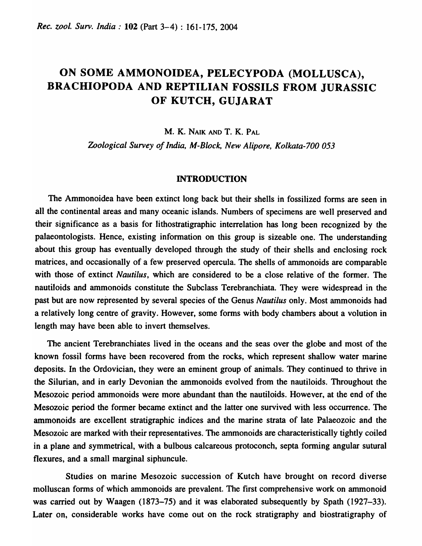# ON SOME AMMONOIDEA, PELECYPODA (MOLLUSCA), BRACHIOPODA AND REPTILIAN FOSSILS FROM JURASSIC OF KUTCH, GUJARAT

M. K. NAIK AND T. K. PAL

*Zoological Survey of India, M-Block, New Alipore, Kolkata-700 053* 

#### INTRODUCTION

The Ammonoidea have been extinct long back but their shells in fossilized forms are seen in all the continental areas and many oceanic islands. Numbers of specimens are well preserved and their significance as a basis for lithostratigraphic interrelation has long been recognized by the palaeontologists. Hence, existing information on this group is sizeable one. The understanding about this group has eventually developed through the study of their shells and enclosing rock matrices, and occasionally of a few preserved opercula. The shells of ammonoids are comparable with those of extinct *Nautilus,* which are considered to be a close relative of the former. The nautiloids and ammonoids constitute the Subclass Terebranchiata. They were widespread in the past but are now represented by several species of the Genus *Nautilus* only. Most ammonoids had a relatively long centre of gravity. However, some forms with body chambers about a volution in length may have been able to invert themselves.

The ancient Terebranchiates lived in the oceans and the seas over the globe and most of the known fossil forms have been recovered from the rocks, which represent shallow water marine deposits. In the Ordovician, they were an eminent group of animals. They continued to thrive in the Silurian, and in early Devonian the ammonoids evolved from the nautiloids. Throughout the Mesozoic period ammonoids were more abundant than the nautiloids. However, at the end of the Mesozoic period the former became extinct and the latter one survived with less occurrence. The ammonoids are excellent stratigraphic indices and the marine strata of late Palaeozoic and the Mesozoic are marked with their representatives. The ammonoids are characteristically tightly coiled in a plane and symmetrical, with a bulbous calcareous protoconch, septa fonning angular sutural flexures, and a small marginal siphuncule.

Studies on marine Mesozoic succession of Kutch have brought on record diverse molluscan forms of which ammonoids are prevalent. The first comprehensive work on ammonoid was carried out by Waagen (1873–75) and it was elaborated subsequently by Spath (1927–33). Later on, considerable works have come out on the rock stratigraphy and biostratigraphy of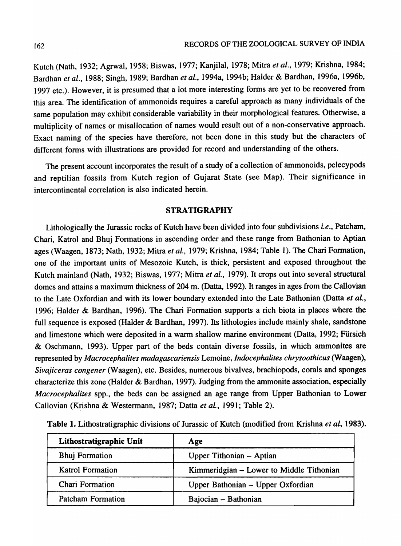Kutch (Nath, 1932; Agrwal, 1958; Biswas, 1977; Kanjilal, 1978; Mitra *et al.,* 1979; Krishna, 1984; Bardhan *et al.,* 1988; Singh, 1989; Bardhan *et al.,* 1994a, 1994b; Halder & Bardhan, 1996a, 1996b, 1997 etc.). However, it is presumed that a lot more interesting forms are yet to be recovered from this area. The identification of ammonoids requires a careful approach as many individuals of the same population may exhibit considerable variability in their morphological features. Otherwise, a multiplicity of names or misallocation of names would result out of a non-conservative approach. Exact naming of the species have therefore, not been done in this study but the characters of different forms with illustrations are provided for record and understanding of the others.

The present account incorporates the result of a study of a collection of ammonoids, pelecypods and reptilian fossils from Kutch region of Gujarat State (see Map). Their significance in intercontinental correlation is also indicated herein.

# STRATIGRAPHY

Lithologically the Jurassic rocks of Kutch have been divided into four subdivisions *i.e.,* Patcham, Chari, Katrol and Bhuj Formations in ascending order and these range from Bathonian to Aptian ages (Waagen, 1873; Nath, 1932; Mitra *et al.,* 1979; Krishna, 1984; Table 1). The Chari Formation, one of the important units of Mesozoic Kutch, is thick, persistent and exposed throughout the Kutch mainland (Nath, 1932; Biswas, 1977; Mitra *et al.,* 1979). It crops out into several structural domes and attains a maximum thickness of 204 m. (Datta, 1992). It ranges in ages from the Callovian to the Late Oxfordian and with its lower boundary extended into the Late Bathonian (Datta *et al.,*  1996; Halder & Bardhan, 1996). The Chari Formation supports a rich biota in places where the full sequence is exposed (Halder & Bardhan, 1997). Its lithologies include mainly shale, sandstone and limestone which were deposited in a warm shallow marine environment (Datta, 1992; Fürsich & Oschmann, 1993). Upper part of the beds contain diverse fossils, in which ammonites are represented by *Macrocephalites madagascariensis* Lemoine, *Indocephalites chrysoothicus* (Waagen), *Sivajiceras congener* (Waagen), etc. Besides, numerous bivalves, brachiopods, corals and sponges characterize this zone (Halder & Bardhan, 1997). Judging from the ammonite association, especially *Macrocephalites* spp., the beds can be assigned an age range from Upper Bathonian to Lower Callovian (Krishna & Westermann, 1987; Datta *et al.,* 1991; Table 2).

| Lithostratigraphic Unit  | Age                                      |
|--------------------------|------------------------------------------|
| <b>Bhuj Formation</b>    | Upper Tithonian - Aptian                 |
| <b>Katrol Formation</b>  | Kimmeridgian – Lower to Middle Tithonian |
| Chari Formation          | Upper Bathonian - Upper Oxfordian        |
| <b>Patcham Formation</b> | Bajocian - Bathonian                     |

Table 1. Lithostratigraphic divisions of Jurassic of Kutch (modified from Krishna *et ai, 1983).*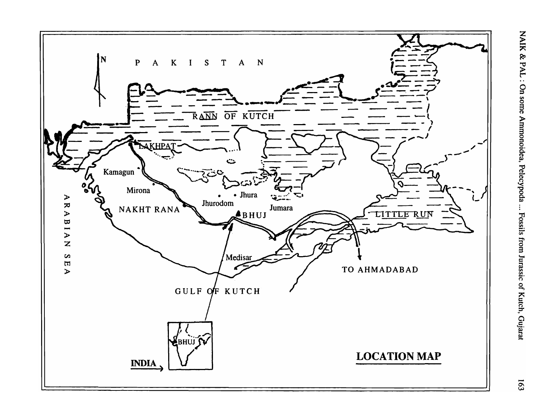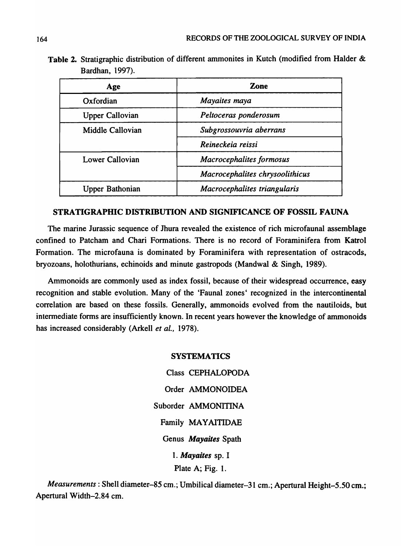| Table 2. Stratigraphic distribution of different ammonites in Kutch (modified from Halder & |  |  |  |  |
|---------------------------------------------------------------------------------------------|--|--|--|--|
| <b>Bardhan, 1997).</b>                                                                      |  |  |  |  |

| Age                    | Zone                            |  |
|------------------------|---------------------------------|--|
| Oxfordian              | Mayaites maya                   |  |
| <b>Upper Callovian</b> | Peltoceras ponderosum           |  |
| Middle Callovian       | Subgrossouvria aberrans         |  |
|                        | Reineckeia reissi               |  |
| <b>Lower Callovian</b> | <b>Macrocephalites formosus</b> |  |
|                        | Macrocephalites chrysoolithicus |  |
| Upper Bathonian        | Macrocephalites triangularis    |  |

# STRATIGRAPHIC DISTRIBUTION AND SIGNIFICANCE OF FOSSIL FAUNA

The marine Jurassic sequence of Jhura revealed the existence of rich microfaunal assemblage confined to Patcham and Chari Formations. There is no record of Foraminifera from Katrol Formation. The microfauna is dominated by Foraminifera with representation of ostracods, bryozoans, holothurians, echinoids and minute gastropods (Mandwal & Singh, 1989).

Ammonoids are commonly used as index fossil, because of their widespread occurrence, easy recognition and stable evolution. Many of the 'Faunal zones' recognized in the intercontinental correlation are based on these fossils. Generally, ammonoids evolved from the nautiloids, but intermediate forms are insufficiently known. In recent years however the knowledge of ammonoids has increased considerably (Arkell *et al.,* 1978).

## SYSTEMATICS

Class CEPHALOPODA Order AMMONOIDEA Suborder AMMONITINA Family MAYAITIDAE Genus *Mayaites* Spath *1. Mayaites* sp. I Plate A; Fig. 1.

*Measurements:* Shell diameter-85 cm.; Umbilical diameter-31 cm.; Apertural Height-5.50 cm.; Apertural Width-2.84 cm.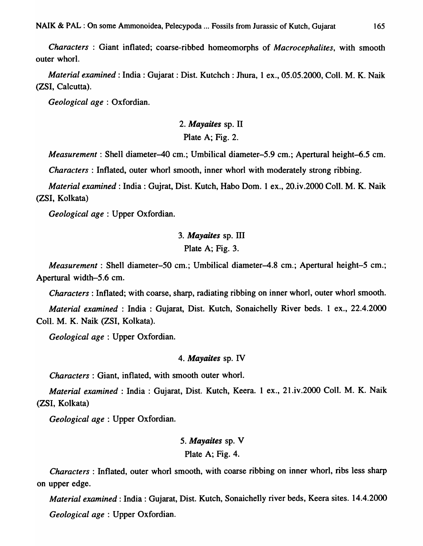*Characters* : Giant inflated; coarse-ribbed homeomorphs of *Macrocephalites,* with smooth outer whorl.

*Material examined:* India: Gujarat : Dist. Kutchch : Jhura, 1 ex., 05.05.2000, ColI. M. K. Naik (ZSI, Calcutta).

*Geological age:* Oxfordian.

# *2. Mayaites* sp. II Plate A; Fig. 2.

*Measurement*: Shell diameter-40 cm.; Umbilical diameter-5.9 cm.; Apertural height-6.5 cm.

*Characters:* Inflated, outer whorl smooth, inner whorl with moderately strong ribbing.

*Material examined:* India: Gujrat, Dist. Kutch, Habo Dom. 1 ex., 20.iv.2oo0 CoIl. M. K. Naik (ZSI, Kolkata)

*Geological age* : Upper Oxfordian.

# *3. Mayaites* sp. III Plate A; Fig. 3.

*Measurement*: Shell diameter-50 cm.; Umbilical diameter-4.8 cm.; Apertural height-5 cm.; Apertural width-5.6 cm.

*Characters:* Inflated; with coarse, sharp, radiating ribbing on inner whorl, outer whorl smooth.

*Material examined* : India : Gujarat, Dist. Kutch, Sonaichelly River beds. 1 ex., 22.4.2000 ColI. M. K. Naik (ZSI, Kolkata).

*Geological age* : Upper Oxfordian.

## *4. Mayaites* sp. IV

*Characters:* Giant, inflated, with smooth outer whorl.

*Material examined* : India : Gujarat, Dist. Kutch, Keera. 1 ex., 21.iv.2000 Coll. M. K. Naik (ZSI, Kolkata)

*Geological age:* Upper Oxfordian.

# *5. Mayaites* sp. V Plate A; Fig. 4.

*Characters:* Inflated, outer whorl smooth, with coarse ribbing on inner whorl, ribs less sharp on upper edge.

*Material examined:* India: Gujarat, Dist. Kutch, Sonaichelly river beds, Keera sites. 14.4.2000 *Geological age* : Upper Oxfordian.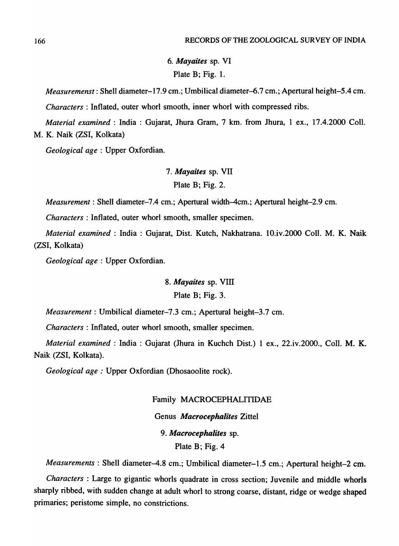*6. Mayaites* sp. VI Plate B; Fig. 1.

*Measuremenst*: Shell diameter-17.9 cm.; Umbilical diameter-6.7 cm.; Apertural height-5.4 cm.

*Characters* : Inflated, outer whorl smooth, inner whorl with compressed ribs.

*Material examined* : India : Gujarat, Jhura Gram, 7 km. from Jhura, 1 ex., 17.4.2000 ColI. M. K. Naik (ZSI, Kolkata)

*Geological age* : Upper Oxfordian.

*7. Mayaites* sp. VII

Plate B; Fig. 2.

*Measurement:* Shell diameter–7.4 cm.; Apertural width–4cm.; Apertural height–2.9 cm.

*Characters:* Inflated, outer whorl smooth, smaller specimen.

*Material examined: India: Gujarat, Dist. Kutch, Nakhatrana. 10.iv.2000 Coll. M. K. Naik* (ZSI, Kolkata)

*Geological age* : Upper Oxfordian.

## *8. Mayaites* sp. VIn

## Plate B; Fig. 3.

*Measurement:* Umbilical diameter-7.3 cm.; Apertural height-3.7 cm.

*Characters:* Inflated, outer whorl smooth, smaller specimen.

*Material examined:* India: Gujarat (Jhura in Kuchch Dist.) 1 ex., 22.iv.2000., Coll. M. K. Naik (ZSI, Kolkata).

*Geological age:* Upper Oxfordian (Dhosaoolite rock).

#### Family MACROCEPHALITIDAE

## Genus *Macrocephalites* Zittel

## *9. Macrocephalites* sp.

Plate B; Fig. 4

*Measurements*: Shell diameter-4.8 cm.; Umbilical diameter-1.5 cm.; Apertural height-2 cm.

*Characters:* Large to gigantic whorls quadrate in cross section; Juvenile and middle whorls sharply ribbed, with sudden change at adult whorl to strong coarse, distant, ridge or wedge shaped primaries; peristome simple, no constrictions.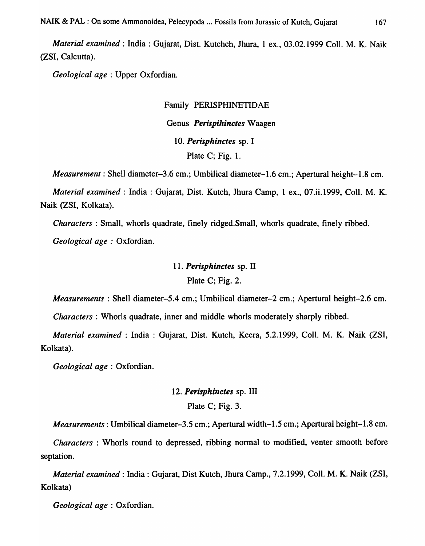*Material examined:* India: Gujarat, Dist. Kutchch, Jhura, 1 ex., 03.02.1999 CoIl. M. K. Naik (ZSI, Calcutta).

*Geological age:* Upper Oxfordian.

## Family PERISPHINETIDAE

# Genus *Perispihinctes* Waagen *10. Perisphinctes* sp. I Plate C; Fig. 1.

*Measurement*: Shell diameter-3.6 cm.; Umbilical diameter-1.6 cm.; Apertural height-1.8 cm.

*Material examined:* India: Gujarat, Dist. Kutch, Jhura Camp, 1 ex., 07.ii.1999, ColI. M. K. Naik (ZSI, Kolkata).

*Characters* : Small, whorls quadrate, finely ridged.Small, whorls quadrate, finely ribbed.

*Geological age:* Oxfordian.

## *11. Perisphinctes* sp. IT

Plate C; Fig. 2.

*Measurements*: Shell diameter-5.4 cm.; Umbilical diameter-2 cm.; Apertural height-2.6 cm.

*Characters:* Whorls quadrate, inner and middle whorls moderately sharply ribbed.

*Material examined* : India : Gujarat, Dist. Kutch, Keera, 5.2.1999, CoIl. M. K. Naik (ZSI, Kolkata).

*Geological age* : Oxfordian.

# 12. Perisphinctes sp. III

Plate C; Fig. 3.

*Measurements:* Umbilical diameter-3.5 cm.; Apertural width-1.5 cm.; Apertural height-1.8 cm.

*Characters* : Whorls round to depressed, ribbing normal to modified, venter smooth before septation.

*Material examined:* India: Gujarat, Dist Kutch, Thura Camp., 7.2.1999, ColI. M. K. Naik (ZSI, Kolkata)

*Geological age* : Oxfordian.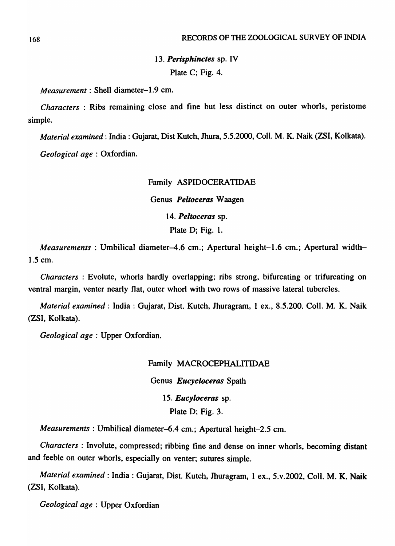# *13. Perisphinctes* sp. IV Plate C; Fig. 4.

*Measurement:* Shell diameter-1.9 cm.

*Characters:* Ribs remaining close and fine but Jess distinct on outer whorls, peristome simple.

*Material examined:* India: Gujarat, Dist Kutch, Jhura, 5.5.2000, Coli. M. K. Naik (ZSI, Kolkata). *Geological age* : Oxfordian.

## Family ASPIDOCERATIDAE

Genus *Peltoceras* Waagen

*14. Peltoceras* sp.

Plate D; Fig. 1.

*Measurements*: Umbilical diameter-4.6 cm.; Apertural height-1.6 cm.; Apertural width-1.5 cm.

*Characters* : Evolute, whorls hardly overlapping; ribs strong, bifurcating or trifurcating on ventral margin, venter nearly flat, outer whorl with two rows of massive lateral tubercles.

*Material examined:* India: Gujarat, Dist. Kutch, Jhuragram, 1 ex., 8.5.200. ColI. M. K. Naik (ZSI, Kolkata).

*Geological age* : Upper Oxfordian.

Family MACROCEPHALITIDAE Genus *Eucycloceras* Spath *15. Eucyloceras* sp. Plate D; Fig. 3.

*Measurements:* Umbilical diameter-6.4 cm.; Apertural height-2.5 cm.

*Characters:* Involute, compressed; ribbing fine and dense on inner whorls, becoming distant and feeble on outer whorls, especially on venter; sutures simple.

*Material examined:* India: Gujarat, Dist. Kutch, Jhuragram, 1 ex., 5. v.2oo2, Coil. M. K. Naik (ZSI, Kolkata).

*Geological age* : Upper Oxfordian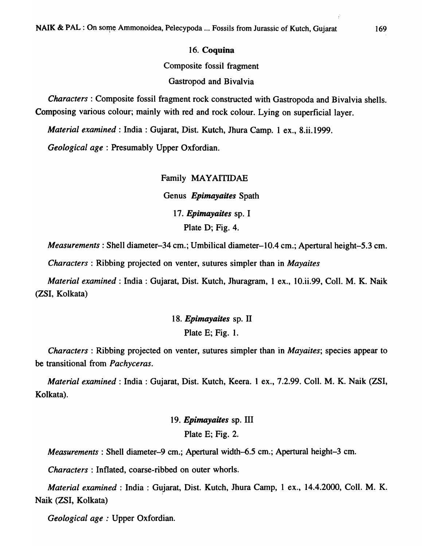## 16. Coquina

Composite fossil fragment

Gastropod and Bivalvia

*Characters:* Composite fossil fragment rock constructed with Gastropoda and Bivalvia shells. Composing various colour; mainly with red and rock colour. Lying on superficial layer.

*Material examined*: India: Gujarat, Dist. Kutch, Jhura Camp. 1 ex., 8.ii.1999.

*Geological age* : Presumably Upper Oxfordian.

Family MAYAITIDAE Genus *Epimayaites* Spath *17. Epimayaites* sp. I Plate D; Fig. 4.

*Measurements:* Shell diameter-34 cm.; Umbilical diameter-l0.4 cm.; Apertural height-5.3 cm.

*Characters:* Ribbing projected on venter, sutures simpler than in *Mayaites* 

*Material examined:* India: Gujarat, Dist. Kutch, Jhuragram, 1 ex., 10.ii.99, ColI. M. K. Naik (ZSI, Kolkata)

> *18. Epimayaites* sp. II Plate E; Fig. 1.

*Characters:* Ribbing projected on venter, sutures simpler than in *Mayaites;* species appear to be transitional from *Pachyceras.* 

*Material examined:* India: Gujarat, Dist. Kutch, Keera. 1 ex., 7.2.99. Coli. M. K. Naik (ZSI, Kolkata).

# *19. Epimayaites* sp. III Plate E; Fig. 2.

*Measurements:* Shell diameter-9 cm.; Apertural width-6.5 cm.; Apertural height-3 cm.

*Characters* : Inflated, coarse-ribbed on outer whorls.

*Material examined: India: Gujarat, Dist. Kutch, Jhura Camp, 1 ex., 14.4.2000, Coll. M. K.* Naik (ZSI, Kolkata)

*Geological age* : Upper Oxfordian.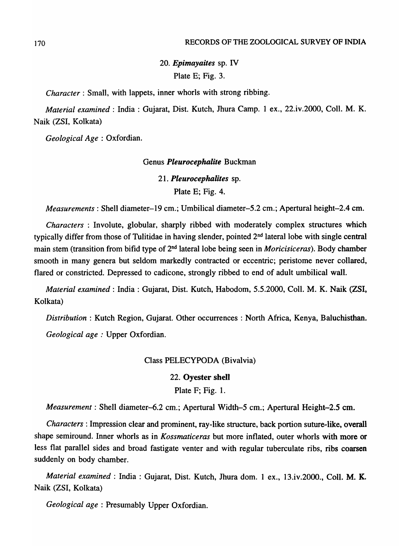*20. Epimayaites* sp. IV Plate E; Fig. 3.

*Character:* Small, with lappets, inner whorls with strong ribbing.

*Material examined:* India: Gujarat, Dist. Kutch, Jhura Camp. 1 ex., 22.iv.2000, ColI. M. K. Naik (ZSI, Kolkata)

*Geological Age* : Oxfordian.

## Genus *Pleurocephalite* Buckman

*21. Pleurocephalites* sp.

Plate E; Fig. 4.

*Measurements:* Shell diameter-19 cm.; Umbilical diameter-5.2 cm.; Apertural height-2.4 cm.

*Characters:* Involute, globular, sharply ribbed with moderately complex structures which typically differ from those of Tulitidae in having slender, pointed 2<sup>nd</sup> lateral lobe with single central main stem (transition from bifid type of 2nd lateral lobe being seen in *Moricisiceras).* Body chamber smooth in many genera but seldom markedly contracted or eccentric; peristome never collared, flared or constricted. Depressed to cadicone, strongly ribbed to end of adult umbilical wall.

*Material examined:* India: Gujarat, Dist. Kutch, Habodom, 5.5.2000, ColI. M. K. Naik (ZSI, Kolkata)

*Distribution:* Kutch Region, Gujarat. Other occurrences: North Africa, Kenya, Baluchisthan. *Geological age:* Upper Oxfordian.

## Class PELECYPODA (Bivalvia)

## 22. Oyester shell

Plate F; Fig. 1.

*Measurement*: Shell diameter-6.2 cm.; Apertural Width-5 cm.; Apertural Height-2.5 cm.

*Characters:* Impression clear and prominent, ray-like structure, back portion suture-like, overall shape semiround. Inner whorls as in *Kossmaticeras* but more inflated, outer whorls with more or less flat parallel sides and broad fastigate venter and with regular tuberculate ribs, ribs coarsen suddenly on body chamber.

*Material examined: India: Gujarat, Dist. Kutch, Jhura dom. 1 ex., 13.iv.2000., Coll. M. K.* Naik (ZSI, Kolkata)

*Geological age* : Presumably Upper Oxfordian.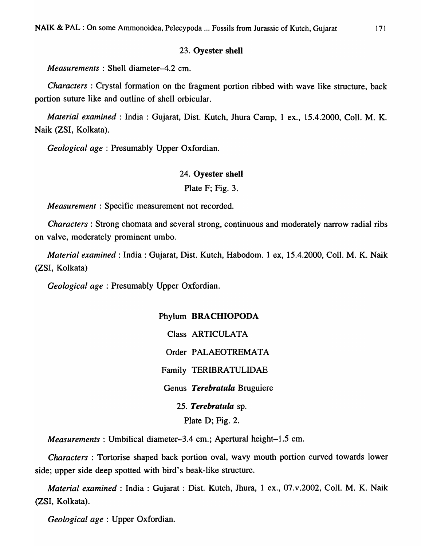### 23. Oyester shell

*Measurements* : Shell diameter-4.2 cm.

*Characters* : Crystal formation on the fragment portion ribbed with wave like structure, back portion suture like and outline of shell orbicular.

*Material examined:* India: Gujarat, Dist. Kutch, Jhura Camp, 1 ex., 15.4.2000, ColI. M. K. Naik (ZSI, Kolkata).

*Geological age:* Presumably Upper Oxfordian.

### 24. Oyester shell

## Plate F; Fig. 3.

*Measurement:* Specific measurement not recorded.

*Characters:* Strong chomata and several strong, continuous and moderately narrow radial ribs on valve, moderately prominent umbo.

*Material examined:* India: Gujarat, Dist. Kutch, Habodom. 1 ex, 15.4.2000, ColI. M. K. Naik (ZSI, Kolkata)

*Geological age* : Presumably Upper Oxfordian.

Phylum BRACHIOPODA Class ARTICULATA Order PALAEOTREMATA Family TERIBRATULIDAE Genus *Terebratula* Bruguiere *25. Terebratula* sp. Plate D; Fig. 2.

*Measurements:* Umbilical diameter-3.4 cm.; Apertural height-1.5 cm.

*Characters:* Tortorise shaped back portion oval, wavy mouth portion curved towards lower side; upper side deep spotted with bird's beak-like structure.

*Material examined:* India: Gujarat: Dist. Kutch, Jhura, 1 ex., 07.v.2002, Coll. M. K. Naik (ZSI, Kolkata).

*Geological age:* Upper Oxfordian.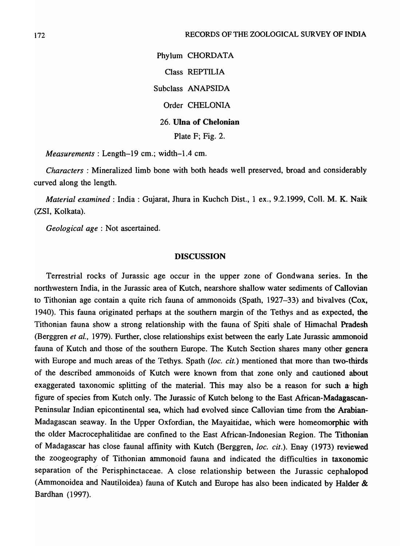Phylum CHORDATA Class REPTILIA Subclass ANAPSIDA Order CHELONIA 26. Ulna of Chelonian Plate F; Fig. 2.

*Measurements:* Length-19 cm.; width-1.4 cm.

*Characters* : Mineralized limb bone with both heads well preserved, broad and considerably curved along the length.

*Material examined:* India: Gujarat, Jhura in Kuchch Dist., 1 ex., 9.2.1999, CoIl. M. K. Naik (ZSI, Kolkata).

*Geological age:* Not ascertained.

## DISCUSSION

Terrestrial rocks of Jurassic age occur in the upper zone of Gondwana series. In the northwestern India, in the Jurassic area of Kutch, nearshore shallow water sediments of Callovian to Tithonian age contain a quite rich fauna of ammonoids (Spath, 1927-33) and bivalves (Cox, 1940). This fauna originated perhaps at the southern margin of the Tethys and as expected, the Tithonian fauna show a strong relationship with the fauna of Spiti shale of Himachal Pradesh (Berggren *et al.,* 1979). Further, close relationships exist between the early Late Jurassic ammonoid fauna of Kutch and those of the southern Europe. The Kutch Section shares many other genera with Europe and much areas of the Tethys. Spath *(loc. cit.)* mentioned that more than two-thirds of the described ammonoids of Kutch were known from that zone only and cautioned about exaggerated taxonomic splitting of the material. This may also be a reason for such  $a$  high figure of species from Kutch only. The Jurassic of Kutch belong to the East African-Madagascan-Peninsular Indian epicontinental sea, which had evolved since Callovian time from the Arabian-Madagascan seaway. In the Upper Oxfordian, the Mayaitidae, which were homeomorphic with the older Macrocephalitidae are confined to the East African-Indonesian Region. The Tithonian of Madagascar has close faunal affinity with Kutch (Berggren, *loc. cit.*). Enay (1973) reviewed the zoogeography of Tithonian ammonoid fauna and indicated the difficulties in taxonomic separation of the Perisphinctaceae. A close relationship between the Jurassic cephalopod (Ammonoidea and Nautiloidea) fauna of Kutch and Europe has also been indicated by Halder & Bardhan (1997).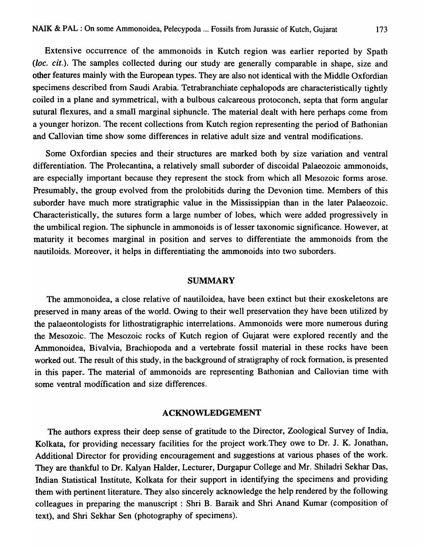Extensive occurrence of the ammonoids in Kutch region was earlier reported by Spath (loc. cit.). The samples collected during our study are generally comparable in shape, size and other features mainly with the European types. They are also not identical with the Middle Oxfordian specimens described from Saudi Arabia. Tetrabranchiate cephalopods are characteristically tightly coiled in a plane and symmetrical, with a bulbous calcareous protoconch, septa that form angular sutural flexures, and a small marginal siphuncle. The material dealt with here perhaps come from a younger horizon. The recent collections from Kutch region representing the period of Bathonian and Callovian time show some differences in relative adult size and ventral modifications.

Some Oxfordian species and their structures are marked both by size variation and ventral differentiation. The Prolecantina, a relatively small suborder of discoidal Palaeozoic ammonoids, are especially important because they represent the stock from which all Mesozoic forms arose. Presumably, the group evolved from the prolobitids during the Devonion time. Members of this suborder have much more stratigraphic value in the Mississippian than in the later Palaeozoic. Characteristically, the sutures form a large number of lobes, which were added progressively in the umbilical region. The siphuncle in ammonoids is of lesser taxonomic significance. However, at maturity it becomes marginal in position and serves to differentiate the ammonoids from the nautiloids. Moreover, it helps in differentiating the ammonoids into two suborders.

## SUMMARY

The ammonoidea, a close relative of nautiloidea, have been extinct but their exoskeletons are preserved in many areas of the world. Owing to their well preservation they have been utilized by the palaeontologists for lithostratigraphic interrelations. Ammonoids were more numerous during the Mesozoic. The Mesozoic rocks of Kutch region of Gujarat were explored recently and the Ammonoidea, Bivalvia, Brachiopoda and a vertebrate fossil material in these rocks have been worked out. The result of this study, in the background of stratigraphy of rock formation, is presented in this paper. The material of ammonoids are representing Bathonian and Callovian time with some ventral modification and size differences.

### ACKNOWLEDGEMENT

The authors express their deep sense of gratitude to the Director, Zoological Survey of India, Kolkata, for providing necessary facilities for the project work.They owe to Dr. J. K. Jonathan, Additional Director for providing encouragement and suggestions at various phases of the work. They are thankful to Dr. Kalyan Halder, Lecturer, Durgapur College and Mr. Shiladri Sekhar Das, Indian Statistical Institute, Kolkata for their support in identifying the specimens and providing them with pertinent literature. They also sincerely acknowledge the help rendered by the following colleagues in preparing the manuscript: Shri B. Baraik and Shri Anand Kumar (composition of text), and Shri Sekhar Sen (photography of specimens).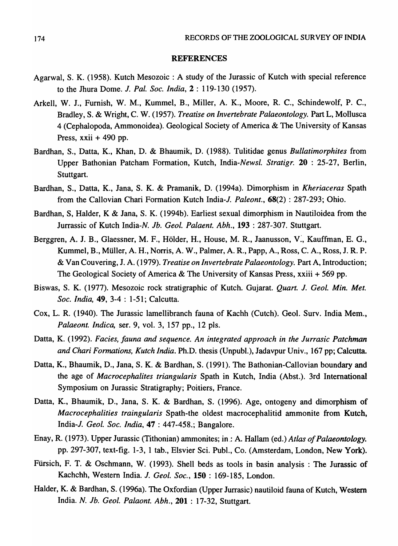### REFERENCES

- Agarwal, S. K. (1958). Kutch Mesozoic: A study of the Jurassic of Kutch with special reference to the Jhura Dome. *J. Pal. Soc. India,* 2 : 119-130 (1957).
- Arkell, W. 1., Furnish, W. M., Kummel, B., Miller, A. K., Moore, R. C., Schindewolf, P. C., Bradley, S. & Wright, C. W. (1957). *Treatise on Invertebrate Palaeontology.* Part L, Mollusca 4 (Cephalopoda, Ammonoidea). Geological Society of America & The University of Kansas Press,  $xxi + 490$  pp.
- Bardhan, *S.,* Datta, K., Khan, D. & Bhaumik, D. (1988). Tulitidae genus *Bullatimorphites* from Upper Bathonian Patcham Formation, Kutch, *India-Newsl. Stratigr.* 20 : 25-27, Berlin, Stuttgart.
- Bardhan, *S.,* Datta, K., Jana, S. K. & Pramanik, D. (1994a). Dimorphism in *Kheriaceras* Spath from the Callovian Chari Formation Kutch India-J. *Paleont.,* 68(2) : 287-293; Ohio.
- Bardhan, S, Halder, K & Jana, S. K. (1994b). Earliest sexual dimorphism in Nautiloidea from the Jurrassic of Kutch India-N. *Jb. Geol. Palaent. Abh.,* 193 : 287-307. Stuttgart.
- Berggren, A. J. B., Glaessner, M. F., Hölder, H., House, M. R., Jaanusson, V., Kauffman, E. G., Kummel, B., Muller, A. H., Norris, A. W., Palmer, A. R., Papp, A., Ross, C. A., Ross, J. R. P. & Van Couvering, J. A. (1979). *Treatise on Invertebrate Palaeontology.* Part A, Introduction; The Geological Society of America & The University of Kansas Press, xxiii + 569 pp.
- Biswas, S. K. (1977). Mesozoic rock stratigraphic of Kutch. Gujarat. *Quart. J. Geol. Min. Met. Soc. India,* 49, 3-4 : 1-51; Calcutta.
- Cox, L. R. (1940). The Jurassic lamellibranch fauna of Kachh (Cutch). Geol. Surv. India Mem., *Palaeont. Indica, ser. 9, vol. 3, 157 pp., 12 pls.*
- Datta, K. (1992). *Facies, fauna and sequence. An integrated approach in the lurrasic Patchman and Chari Formations, Kutch India.* Ph.D. thesis (Unpubl.), Jadavpur Univ., 167 pp; Calcutta.
- Datta, K., Bhaumik, D., Jana, S. K. & Bardhan, S. (1991). The Bathonian-Callovian boundary and the age of *Macrocephalites triangularis* Spath in Kutch, India (Abst.). 3rd International Symposium on Jurassic Stratigraphy; Poitiers, France.
- Datta, K., Bhaumik, D., Jana, S. K. & Bardhan, S. (1996). Age, ontogeny and dimorphism of *Macrocephalities traingularis* Spath-the oldest macrocephalitid ammonite from Kutch, India-l. *Geol. Soc. India,* 47 : 447-458.; Bangalore.
- Enay, R. (1973). Upper Jurassic (Tithonian) ammonites; in.: A. Hallam (ed.) *Atlas of Palaeontology.*  pp. 297-307, text-fig. 1-3, 1 tab., Elsvier Sci. Publ., Co. (Amsterdam, London, New York).
- Fursich, F. T. & Oschmann, W. (1993). Shell beds as tools in basin analysis: The Jurassic of Kachchh, Western India. *l. Geol. Soc.,* 150 : 169-185, London.
- Halder, K. & Bardhan, S. (1996a). The Oxfordian (Upper Jurrasic) nautiloid fauna of Kutch, Western India. *N. lb. Geol. Palaont. Abh.,* 201 : 17-32, Stuttgart.